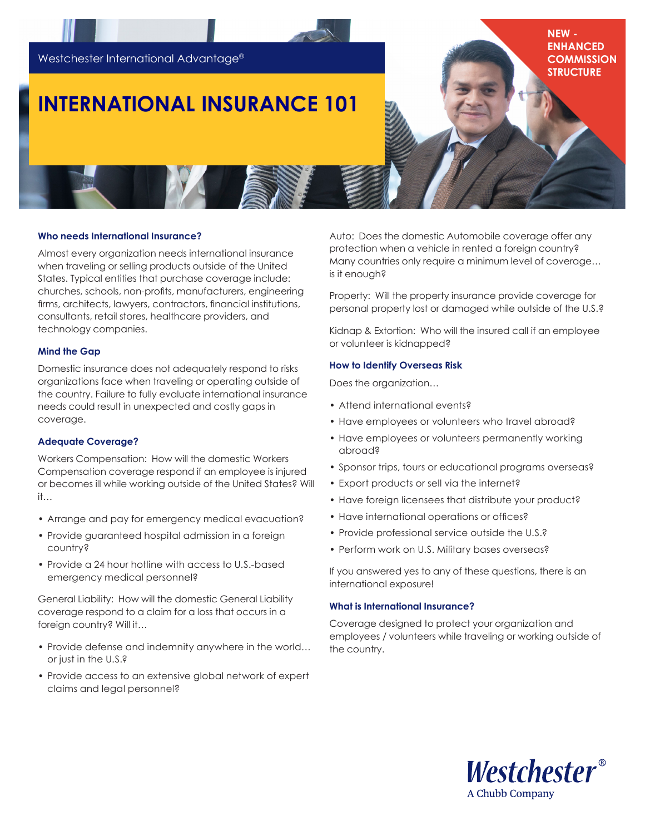# **INTERNATIONAL INSURANCE 101**

#### **Who needs International Insurance?**

Almost every organization needs international insurance when traveling or selling products outside of the United States. Typical entities that purchase coverage include: churches, schools, non-profits, manufacturers, engineering firms, architects, lawyers, contractors, financial institutions, consultants, retail stores, healthcare providers, and technology companies.

### **Mind the Gap**

Domestic insurance does not adequately respond to risks organizations face when traveling or operating outside of the country. Failure to fully evaluate international insurance needs could result in unexpected and costly gaps in coverage.

#### **Adequate Coverage?**

Workers Compensation: How will the domestic Workers Compensation coverage respond if an employee is injured or becomes ill while working outside of the United States? Will it…

- Arrange and pay for emergency medical evacuation?
- Provide guaranteed hospital admission in a foreign country?
- Provide a 24 hour hotline with access to U.S.-based emergency medical personnel?

General Liability: How will the domestic General Liability coverage respond to a claim for a loss that occurs in a foreign country? Will it…

- Provide defense and indemnity anywhere in the world… or just in the U.S.?
- Provide access to an extensive global network of expert claims and legal personnel?

Auto: Does the domestic Automobile coverage offer any protection when a vehicle in rented a foreign country? Many countries only require a minimum level of coverage… is it enough?

**NEW - ENHANCED COMMISSION STRUCTURE**

Property: Will the property insurance provide coverage for personal property lost or damaged while outside of the U.S.?

Kidnap & Extortion: Who will the insured call if an employee or volunteer is kidnapped?

### **How to Identify Overseas Risk**

Does the organization…

- Attend international events?
- Have employees or volunteers who travel abroad?
- Have employees or volunteers permanently working abroad?
- Sponsor trips, tours or educational programs overseas?
- Export products or sell via the internet?
- Have foreign licensees that distribute your product?
- Have international operations or offices?
- Provide professional service outside the U.S.?
- Perform work on U.S. Military bases overseas?

If you answered yes to any of these questions, there is an international exposure!

### **What is International Insurance?**

Coverage designed to protect your organization and employees / volunteers while traveling or working outside of the country.